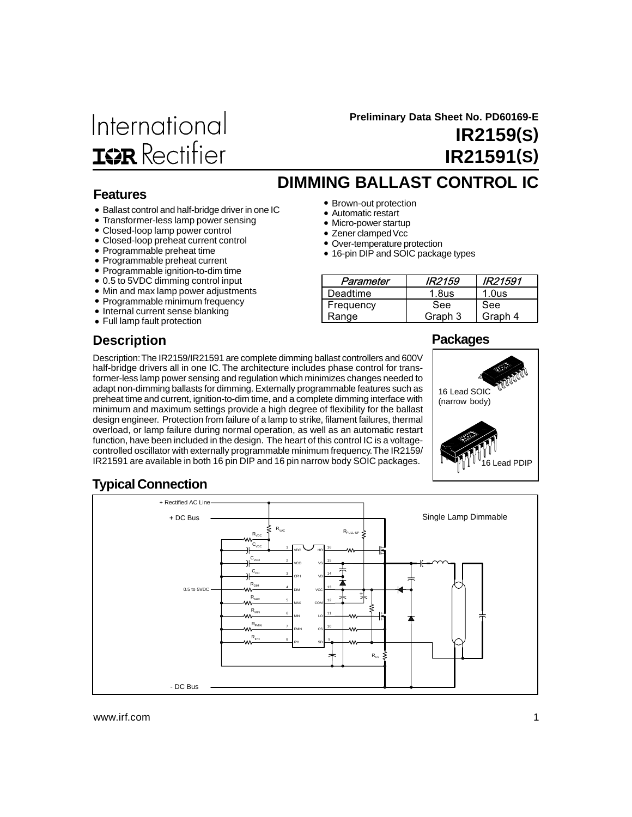# International **IGR** Rectifier

 **Preliminary Data Sheet No. PD60169-E**

**IR2159(S) IR21591(S)**

# **DIMMING BALLAST CONTROL IC**

- Brown-out protection
- Automatic restart
- Micro-power startup
- Zener clamped Vcc
- Over-temperature protection
- 16-pin DIP and SOIC package types

| Parameter | <i><b>IR2159</b></i> | IR21591           |
|-----------|----------------------|-------------------|
| Deadtime  | 1.8 <sub>us</sub>    | 1.0 <sub>us</sub> |
| Frequency | See                  | See               |
| Range     | Graph 3              | Graph 4           |

### **Features**

- Ballast control and half-bridge driver in one IC
- Transformer-less lamp power sensing
- Closed-loop lamp power control
- Closed-loop preheat current control
- Programmable preheat time
- Programmable preheat current
- Programmable ignition-to-dim time
- 0.5 to 5VDC dimming control input
- Min and max lamp power adjustments
- Programmable minimum frequency
- Internal current sense blanking
- Full lamp fault protection

## **Description**

### **Packages**

Description: The IR2159/IR21591 are complete dimming ballast controllers and 600V half-bridge drivers all in one IC. The architecture includes phase control for transformer-less lamp power sensing and regulation which minimizes changes needed to adapt non-dimming ballasts for dimming. Externally programmable features such as preheat time and current, ignition-to-dim time, and a complete dimming interface with minimum and maximum settings provide a high degree of flexibility for the ballast design engineer. Protection from failure of a lamp to strike, filament failures, thermal overload, or lamp failure during normal operation, as well as an automatic restart function, have been included in the design. The heart of this control IC is a voltagecontrolled oscillator with externally programmable minimum frequency. The IR2159/ IR21591 are available in both 16 pin DIP and 16 pin narrow body SOIC packages.



## **Typical Connection**

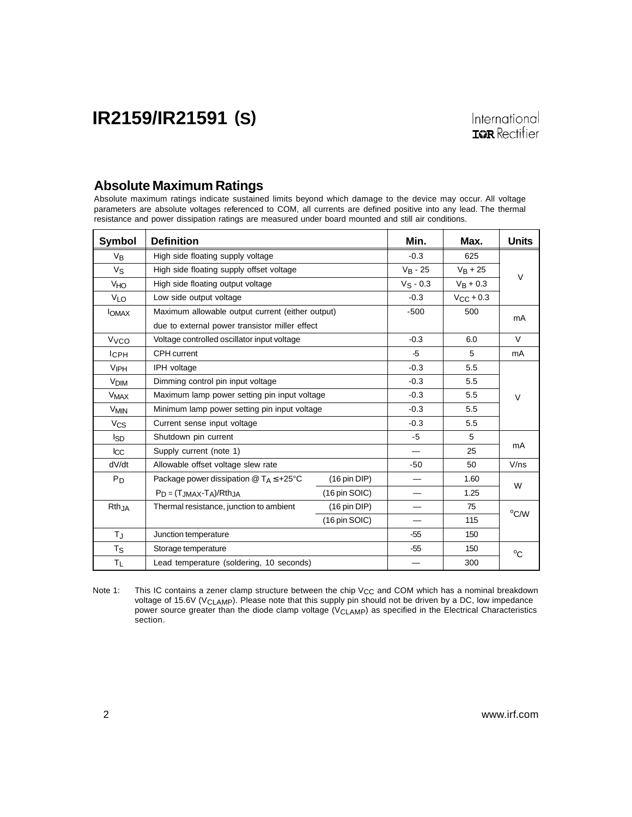### **Absolute Maximum Ratings**

Absolute maximum ratings indicate sustained limits beyond which damage to the device may occur. All voltage parameters are absolute voltages referenced to COM, all currents are defined positive into any lead. The thermal resistance and power dissipation ratings are measured under board mounted and still air conditions.

| Symbol                 | <b>Definition</b>                                                     | Min.                    | Max.           | <b>Units</b>  |                |
|------------------------|-----------------------------------------------------------------------|-------------------------|----------------|---------------|----------------|
| $V_{B}$                | High side floating supply voltage                                     | $-0.3$                  | 625            |               |                |
| $V_S$                  | High side floating supply offset voltage                              | $V_B - 25$              | $V_{B} + 25$   | $\vee$        |                |
| <b>V<sub>HO</sub></b>  | High side floating output voltage                                     |                         | $V_S - 0.3$    | $V_{B} + 0.3$ |                |
| VLO                    | Low side output voltage                                               | $-0.3$                  | $V_{CC}$ + 0.3 |               |                |
| <b>I</b> OMAX          | Maximum allowable output current (either output)                      |                         | $-500$         | 500           | mA             |
|                        | due to external power transistor miller effect                        |                         |                |               |                |
| <b>V<sub>VCO</sub></b> | Voltage controlled oscillator input voltage                           |                         | $-0.3$         | 6.0           | $\vee$         |
| $I$ <sub>CPH</sub>     | CPH current                                                           |                         | -5             | 5             | mA             |
| <b>VIPH</b>            | IPH voltage                                                           |                         | $-0.3$         | 5.5           |                |
| <b>V<sub>DIM</sub></b> | Dimming control pin input voltage                                     |                         | $-0.3$         | 5.5           |                |
| <b>V<sub>MAX</sub></b> | Maximum lamp power setting pin input voltage                          | $-0.3$                  | 5.5            | $\vee$        |                |
| <b>V<sub>MIN</sub></b> | Minimum lamp power setting pin input voltage                          | $-0.3$                  | 5.5            |               |                |
| $V_{CS}$               | Current sense input voltage                                           | $-0.3$                  | 5.5            |               |                |
| Isp                    | Shutdown pin current                                                  | $-5$                    | 5              |               |                |
| $_{\rm lcc}$           | Supply current (note 1)                                               |                         |                | 25            | mA             |
| dV/dt                  | Allowable offset voltage slew rate                                    |                         | $-50$          | 50            | V/ns           |
| $P_D$                  | Package power dissipation $@T_A \leq +25°C$<br>$(16 \text{ pin DIP})$ |                         |                | 1.60          |                |
|                        | $P_D = (T_{JMAX} - T_A)/R$ th <sub>JA</sub>                           |                         | 1.25           | W             |                |
| Rth <sub>JA</sub>      | Thermal resistance, junction to ambient                               | $(16 \text{ pin DIP})$  | —              | 75            |                |
|                        |                                                                       | $(16 \text{ pin SOIC})$ |                | 115           | $^{\circ}$ C/W |
| $T_{\rm J}$            | Junction temperature                                                  |                         | $-55$          | 150           |                |
| $T_S$                  | Storage temperature                                                   |                         | $-55$          | 150           | $^{\circ}C$    |
| ΤL                     | Lead temperature (soldering, 10 seconds)                              |                         | 300            |               |                |

Note 1: This IC contains a zener clamp structure between the chip  $V_{CC}$  and COM which has a nominal breakdown voltage of 15.6V (V<sub>CLAMP</sub>). Please note that this supply pin should not be driven by a DC, low impedance power source greater than the diode clamp voltage (V<sub>CLAMP</sub>) as specified in the Electrical Characteristics section.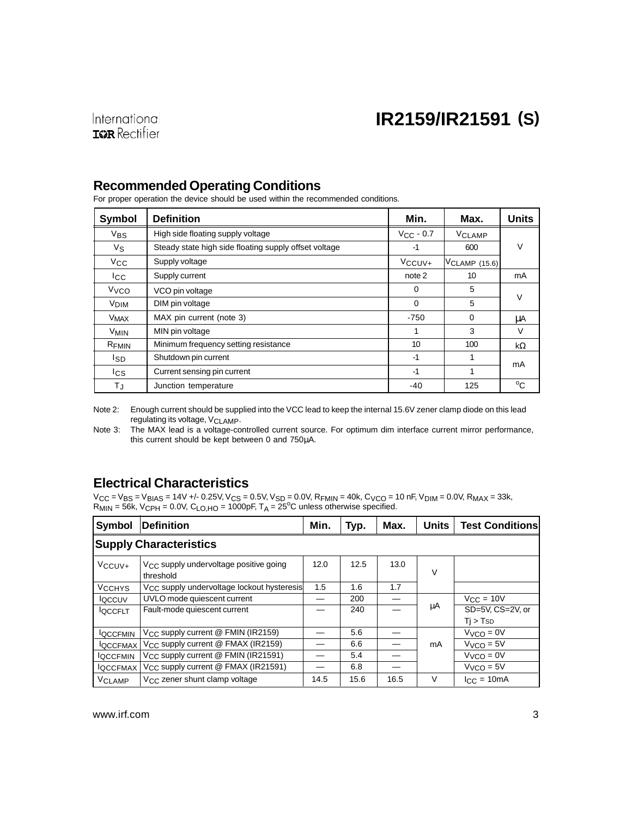### **Recommended Operating Conditions**

For proper operation the device should be used within the recommended conditions.

| Symbol                 | <b>Definition</b>                                     | Min.                | Max.             | <b>Units</b> |  |
|------------------------|-------------------------------------------------------|---------------------|------------------|--------------|--|
| $V_{BS}$               | High side floating supply voltage                     | $V_{CC}$ - 0.7      | <b>VCLAMP</b>    |              |  |
| Vs                     | Steady state high side floating supply offset voltage | $-1$                | 600              | v            |  |
| $V_{\rm CC}$           | Supply voltage                                        | V <sub>CCUV</sub> + | VCLAMP (15.6)    |              |  |
| <b>I</b> cc            | Supply current                                        | note 2              | 10 <sup>10</sup> | mA           |  |
| <b>V<sub>VCO</sub></b> | VCO pin voltage                                       | 0                   | 5                | V            |  |
| <b>V<sub>DIM</sub></b> | DIM pin voltage                                       | 0                   |                  |              |  |
| <b>V<sub>MAX</sub></b> | MAX pin current (note 3)                              | $-750$              | $\Omega$         | μA           |  |
| <b>V<sub>MIN</sub></b> | MIN pin voltage                                       | 1                   | 3                | V            |  |
| RFMIN                  | Minimum frequency setting resistance                  | 10                  | 100              | kΩ           |  |
| lsp                    | Shutdown pin current                                  | $-1$                |                  | mA           |  |
| lcs                    | Current sensing pin current                           | $-1$                |                  |              |  |
| ТJ                     | Junction temperature                                  | -40                 | 125              | °C           |  |

Note 2: Enough current should be supplied into the VCC lead to keep the internal 15.6V zener clamp diode on this lead regulating its voltage, V<sub>CLAMP</sub>.

Note 3: The MAX lead is a voltage-controlled current source. For optimum dim interface current mirror performance, this current should be kept between 0 and 750µA.

### **Electrical Characteristics**

 $V_{CC}$  = V<sub>BS</sub> = V<sub>BIAS</sub> = 14V +/- 0.25V, V<sub>CS</sub> = 0.5V, V<sub>SD</sub> = 0.0V, R<sub>FMIN</sub> = 40k, C<sub>VCO</sub> = 10 nF, V<sub>DIM</sub> = 0.0V, R<sub>MAX</sub> = 33k,  $R_{MIN}$  = 56k, V<sub>CPH</sub> = 0.0V, C<sub>LO,HO</sub> = 1000pF, T<sub>A</sub> = 25<sup>o</sup>C unless otherwise specified.

| Symbol          | Definition                                                      | Min. | Typ. | Max. | Units | <b>Test Conditions</b>      |
|-----------------|-----------------------------------------------------------------|------|------|------|-------|-----------------------------|
|                 | <b>Supply Characteristics</b>                                   |      |      |      |       |                             |
| $V$ CCUV+       | V <sub>CC</sub> supply undervoltage positive going<br>threshold | 12.0 | 12.5 | 13.0 | V     |                             |
| <b>VCCHYS</b>   | V <sub>CC</sub> supply undervoltage lockout hysteresis          | 1.5  | 1.6  | 1.7  |       |                             |
| loccuv          | UVLO mode quiescent current                                     |      | 200  |      |       | $V_{\text{CC}} = 10V$       |
| <b>IQCCFLT</b>  | Fault-mode quiescent current                                    |      | 240  |      | μA    | SD=5V, CS=2V, or            |
|                 |                                                                 |      |      |      |       | Ti > TSD                    |
| <b>IQCCFMIN</b> | $V_{CC}$ supply current @ FMIN (IR2159)                         |      | 5.6  |      |       | $VVCO = 0V$                 |
| <b>IQCCFMAX</b> | $V_{CC}$ supply current @ FMAX (IR2159)                         |      | 6.6  |      | mA    | $VVCO = 5V$                 |
| <b>IQCCFMIN</b> | $V_{CC}$ supply current @ FMIN (IR21591)                        |      | 5.4  |      |       | $VVCO = 0V$                 |
| <b>IQCCFMAX</b> | V <sub>CC</sub> supply current @ FMAX (IR21591)                 |      | 6.8  |      |       | $VVCO = 5V$                 |
| <b>VCLAMP</b>   | V <sub>CC</sub> zener shunt clamp voltage                       | 14.5 | 15.6 | 16.5 | V     | $I_{\rm CC} = 10 \text{mA}$ |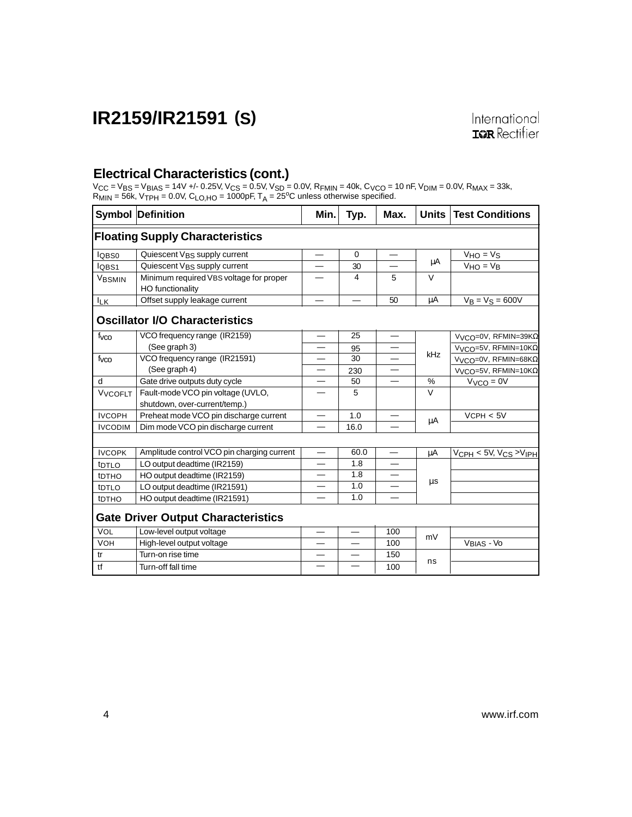### **Electrical Characteristics (cont.)**

Vcc = Vвs = Vвıas = 14V +/- 0.25V, Vcs = 0.5V, Vsp = 0.0V, Rғмın = 40k, C<sub>VCO</sub> = 10 nF, V<sub>DIM</sub> = 0.0V, R<sub>MAX</sub> = 33k,<br>R<sub>MIN</sub> = 56k, V<sub>TPH</sub> = 0.0V, C<sub>LO,HO</sub> = 1000pF, T<sub>A</sub> = 25<sup>o</sup>C unless otherwise specified.

|                   | <b>Symbol Definition</b>                                           | Min. | Typ.     | Max.                     |               | Units   Test Conditions                         |
|-------------------|--------------------------------------------------------------------|------|----------|--------------------------|---------------|-------------------------------------------------|
|                   | <b>Floating Supply Characteristics</b>                             |      |          |                          |               |                                                 |
| lQBS0             | Quiescent V <sub>BS</sub> supply current                           |      | $\Omega$ |                          |               | $VHO = VS$                                      |
| lobs1             | Quiescent V <sub>BS</sub> supply current                           |      | 30       |                          | μA            | $V_{HO} = V_B$                                  |
| VBSMIN            | Minimum required VBS voltage for proper<br>HO functionality        |      | 4        | 5                        | $\vee$        |                                                 |
| <b>ILK</b>        | Offset supply leakage current                                      |      |          | 50                       | μA            | $V_B = V_S = 600V$                              |
|                   | <b>Oscillator I/O Characteristics</b>                              |      |          |                          |               |                                                 |
| f <sub>vco</sub>  | VCO frequency range (IR2159)                                       |      | 25       | $\overline{\phantom{m}}$ |               | V <sub>VCO</sub> =0V, RFMIN=39KΩ                |
|                   | (See graph 3)                                                      |      | 95       |                          | kHz           | $VVCO=5V$ , RFMIN=10K $\Omega$                  |
| f <sub>vco</sub>  | VCO frequency range (IR21591)                                      |      | 30       |                          |               | V <sub>VCO</sub> =0V, RFMIN=68KQ                |
|                   | (See graph 4)                                                      | —    | 230      |                          |               | $VVCO=5V, RFMIN=10KΩ$                           |
| d                 | Gate drive outputs duty cycle                                      |      | 50       |                          | $\frac{0}{0}$ | $VVCO = 0V$                                     |
| <b>VVCOFLT</b>    | Fault-mode VCO pin voltage (UVLO,<br>shutdown, over-current/temp.) |      | 5        |                          | $\vee$        |                                                 |
| <b>IVCOPH</b>     | Preheat mode VCO pin discharge current                             |      | 1.0      |                          | μA            | VCPH < 5V                                       |
| <b>IVCODIM</b>    | Dim mode VCO pin discharge current                                 |      | 16.0     |                          |               |                                                 |
|                   |                                                                    |      |          |                          |               |                                                 |
| <b>IVCOPK</b>     | Amplitude control VCO pin charging current                         |      | 60.0     |                          | μA            | $\overline{V_{CPH}}$ < 5V, $V_{CS}$ > $V_{IPH}$ |
| t <sub>DTLO</sub> | LO output deadtime (IR2159)                                        |      | 1.8      |                          |               |                                                 |
| t <sub>DTHO</sub> | HO output deadtime (IR2159)                                        |      | 1.8      |                          | $\mu$ s       |                                                 |
| tDTLO             | LO output deadtime (IR21591)                                       |      | 1.0      |                          |               |                                                 |
| tDTHO             | HO output deadtime (IR21591)                                       |      | 1.0      |                          |               |                                                 |
|                   | <b>Gate Driver Output Characteristics</b>                          |      |          |                          |               |                                                 |
| VOL               | Low-level output voltage                                           |      |          | 100                      | mV            |                                                 |
| <b>VOH</b>        | High-level output voltage                                          |      |          | 100                      |               | VBIAS - VO                                      |
| tr                | Turn-on rise time                                                  |      |          | 150                      |               |                                                 |
| tf                | Turn-off fall time                                                 |      |          | 100                      | ns            |                                                 |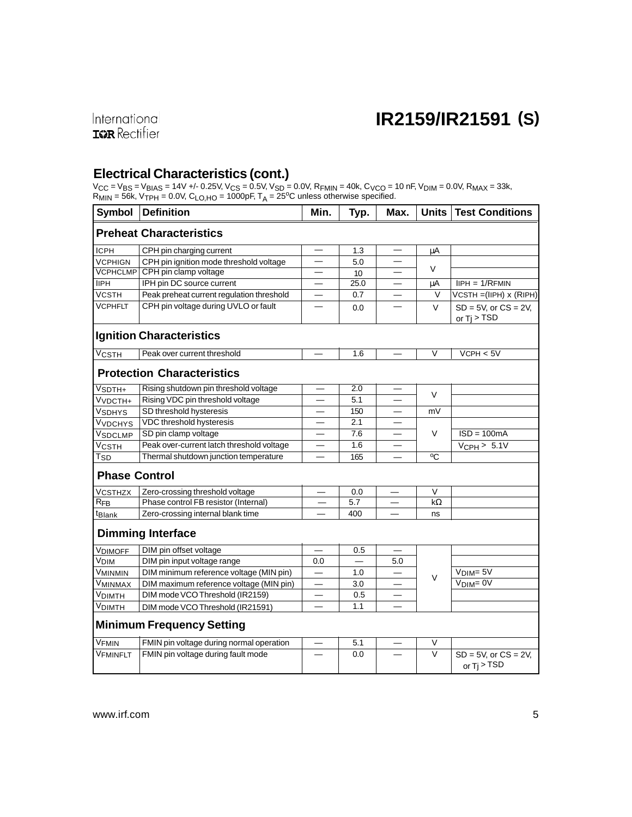### **Electrical Characteristics (cont.)**

Vcc = Vвs = Vвıas = 14V +/- 0.25V, Vcs = 0.5V, Vsp = 0.0V, Rғмın = 40k, C<sub>VCO</sub> = 10 nF, V<sub>DIM</sub> = 0.0V, R<sub>MAX</sub> = 33k,<br>R<sub>MIN</sub> = 56k, V<sub>TPH</sub> = 0.0V, C<sub>LO,HO</sub> = 1000pF, T<sub>A</sub> = 25<sup>o</sup>C unless otherwise specified.

| <b>Symbol</b>              | <b>Definition</b>                         | Min. | Typ. | Max.     | <b>Units</b>   | <b>Test Conditions</b>                      |
|----------------------------|-------------------------------------------|------|------|----------|----------------|---------------------------------------------|
|                            | <b>Preheat Characteristics</b>            |      |      |          |                |                                             |
| <b>ICPH</b>                | CPH pin charging current                  |      | 1.3  |          | μA             |                                             |
| <b>VCPHIGN</b>             | CPH pin ignition mode threshold voltage   |      | 5.0  |          |                |                                             |
| <b>VCPHCLMP</b>            | CPH pin clamp voltage                     |      | 10   |          | V              |                                             |
| <b>IIPH</b>                | IPH pin DC source current                 |      | 25.0 | $\equiv$ | μA             | $IIPH = 1/RFMIN$                            |
| <b>VCSTH</b>               | Peak preheat current regulation threshold |      | 0.7  |          | V              | VCSTH = (IIPH) x (RIPH)                     |
| <b>VCPHFLT</b>             | CPH pin voltage during UVLO or fault      |      | 0.0  |          | $\vee$         | $SD = 5V$ , or $CS = 2V$ ,<br>or $Ti > TSD$ |
|                            | <b>Ignition Characteristics</b>           |      |      |          |                |                                             |
| $\overline{V}$ csth        | Peak over current threshold               |      | 1.6  |          | V              | VCPH < 5V                                   |
|                            | <b>Protection Characteristics</b>         |      |      |          |                |                                             |
| $\overline{V_{SDTH+}}$     | Rising shutdown pin threshold voltage     |      | 2.0  |          | $\vee$         |                                             |
| V <sub>VDCTH+</sub>        | Rising VDC pin threshold voltage          |      | 5.1  |          |                |                                             |
| Vsdhys                     | SD threshold hysteresis                   |      | 150  |          | mV             |                                             |
| Vvdchys                    | VDC threshold hysteresis                  |      | 2.1  |          |                |                                             |
| VSDCLMP                    | SD pin clamp voltage                      |      | 7.6  |          | V              | $ISD = 100mA$                               |
| <b>VCSTH</b>               | Peak over-current latch threshold voltage |      | 1.6  |          |                | $V_{\text{CPH}}$ > 5.1V                     |
| $\mathsf{T}_{\mathsf{SD}}$ | Thermal shutdown junction temperature     |      | 165  |          | $\overline{c}$ |                                             |
| <b>Phase Control</b>       |                                           |      |      |          |                |                                             |
| <b>VCSTHZX</b>             | Zero-crossing threshold voltage           |      | 0.0  |          | V              |                                             |
| $R_{FB}$                   | Phase control FB resistor (Internal)      |      | 5.7  |          | $k\Omega$      |                                             |
| <sup>t</sup> Blank         | Zero-crossing internal blank time         |      | 400  |          | ns             |                                             |
|                            | <b>Dimming Interface</b>                  |      |      |          |                |                                             |
| <b>VDIMOFF</b>             | DIM pin offset voltage                    |      | 0.5  |          |                |                                             |
| V <sub>DIM</sub>           | DIM pin input voltage range               | 0.0  |      | 5.0      |                |                                             |
| Vminmin                    | DIM minimum reference voltage (MIN pin)   |      | 1.0  |          | $\vee$         | $VDIM=5V$                                   |
| Vminmax                    | DIM maximum reference voltage (MIN pin)   |      | 3.0  |          |                | $VDIM= 0V$                                  |
| V <sub>DIMTH</sub>         | DIM mode VCO Threshold (IR2159)           |      | 0.5  |          |                |                                             |
| <b>VDIMTH</b>              | DIM mode VCO Threshold (IR21591)          |      | 1.1  |          |                |                                             |
|                            | <b>Minimum Frequency Setting</b>          |      |      |          |                |                                             |
| V <sub>FMIN</sub>          | FMIN pin voltage during normal operation  |      | 5.1  |          | V              |                                             |
| VFMINFLT                   | FMIN pin voltage during fault mode        |      | 0.0  |          | V              | $SD = 5V$ , or $CS = 2V$ ,<br>or $Tj > TSD$ |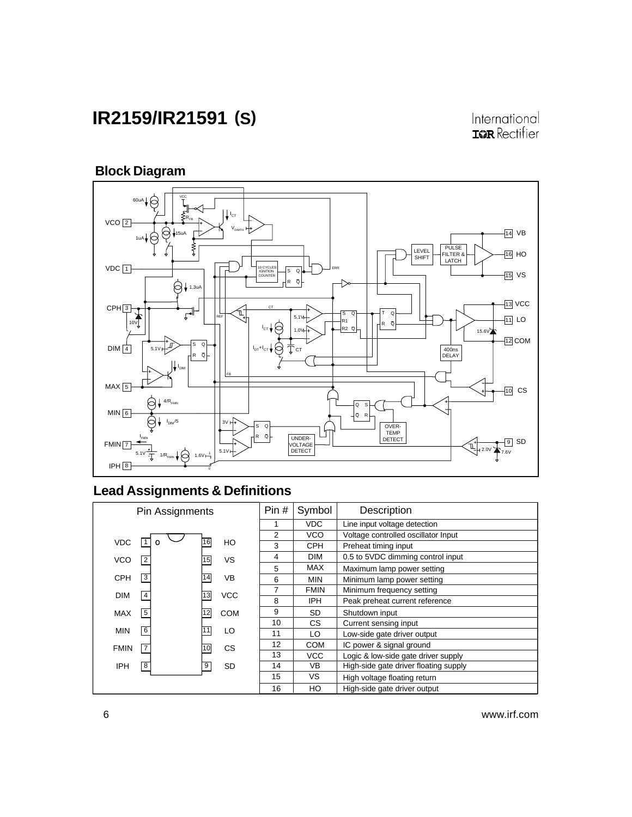International **ISR** Rectifier

## **Block Diagram**



## **Lead Assignments & Definitions**

|             | Pin Assignments |    |            | Pin# | Symbol      | Description                           |
|-------------|-----------------|----|------------|------|-------------|---------------------------------------|
|             |                 |    |            | 1    | <b>VDC</b>  | Line input voltage detection          |
|             |                 |    |            | 2    | <b>VCO</b>  | Voltage controlled oscillator Input   |
| <b>VDC</b>  |                 | 16 | HO         | 3    | <b>CPH</b>  | Preheat timing input                  |
| <b>VCO</b>  | 2               | 15 | <b>VS</b>  | 4    | <b>DIM</b>  | 0.5 to 5VDC dimming control input     |
|             |                 |    |            | 5    | <b>MAX</b>  | Maximum lamp power setting            |
| <b>CPH</b>  | 3               | 14 | <b>VB</b>  | 6    | <b>MIN</b>  | Minimum lamp power setting            |
| <b>DIM</b>  | 4               | 13 | <b>VCC</b> | 7    | <b>FMIN</b> | Minimum frequency setting             |
|             |                 |    |            | 8    | <b>IPH</b>  | Peak preheat current reference        |
| <b>MAX</b>  | 5               | 12 | <b>COM</b> | 9    | SD          | Shutdown input                        |
|             |                 |    |            | 10   | CS.         | Current sensing input                 |
| <b>MIN</b>  | 6               |    | LO         | 11   | LO.         | Low-side gate driver output           |
| <b>FMIN</b> | 17              | 10 | CS         | 12   | <b>COM</b>  | IC power & signal ground              |
|             |                 |    |            | 13   | <b>VCC</b>  | Logic & low-side gate driver supply   |
| <b>IPH</b>  | 8               | 9  | SD         | 14   | <b>VB</b>   | High-side gate driver floating supply |
|             |                 |    |            | 15   | VS.         | High voltage floating return          |
|             |                 |    |            | 16   | HO          | High-side gate driver output          |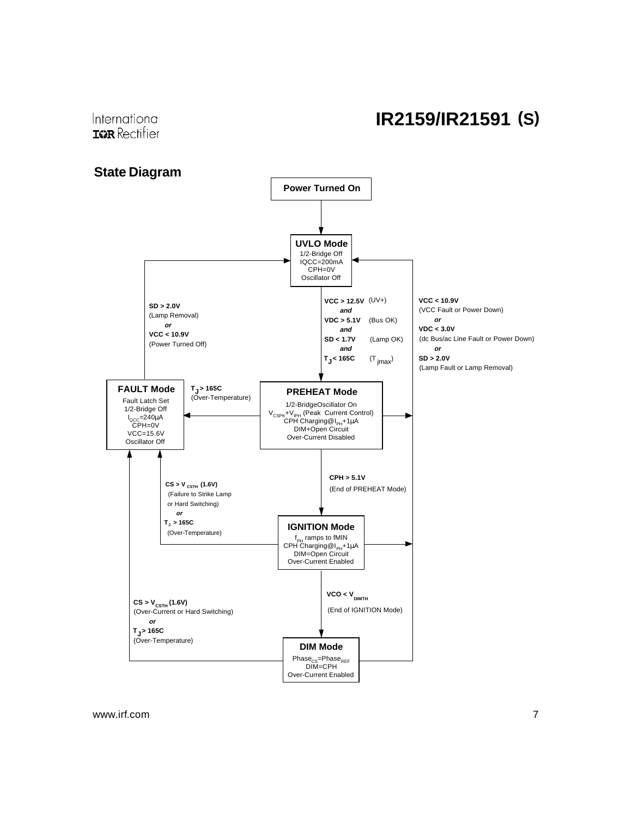International **IGR** Rectifier

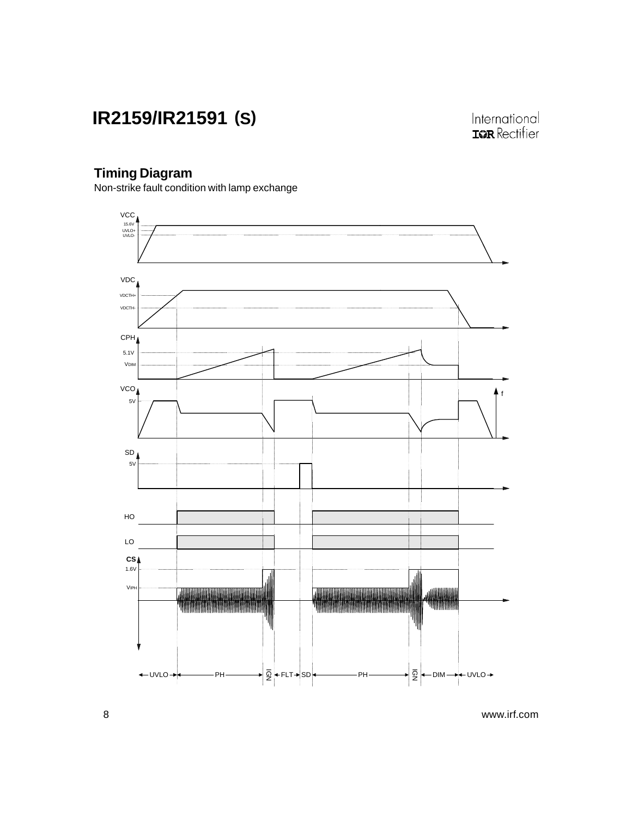International TOR Rectifier

### **Timing Diagram**

Non-strike fault condition with lamp exchange

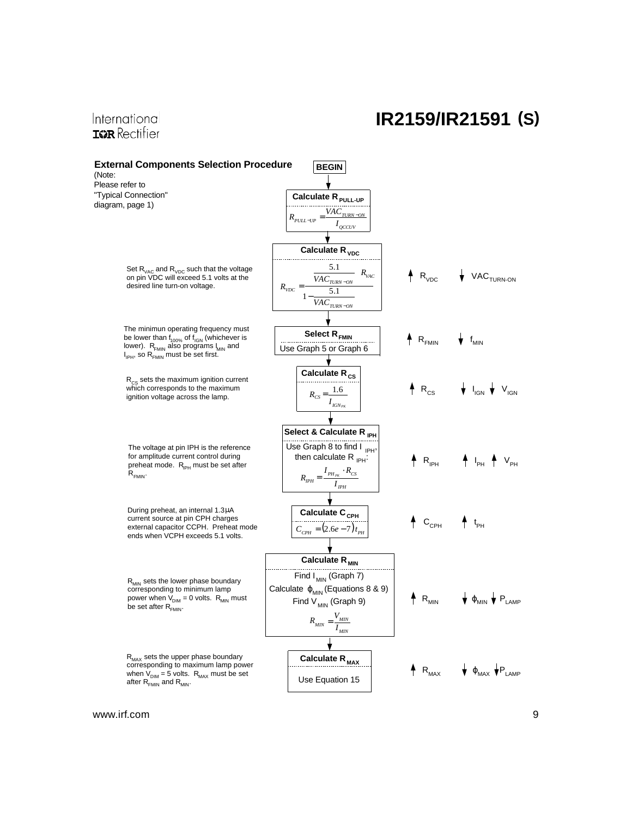### International **IGR** Rectifier

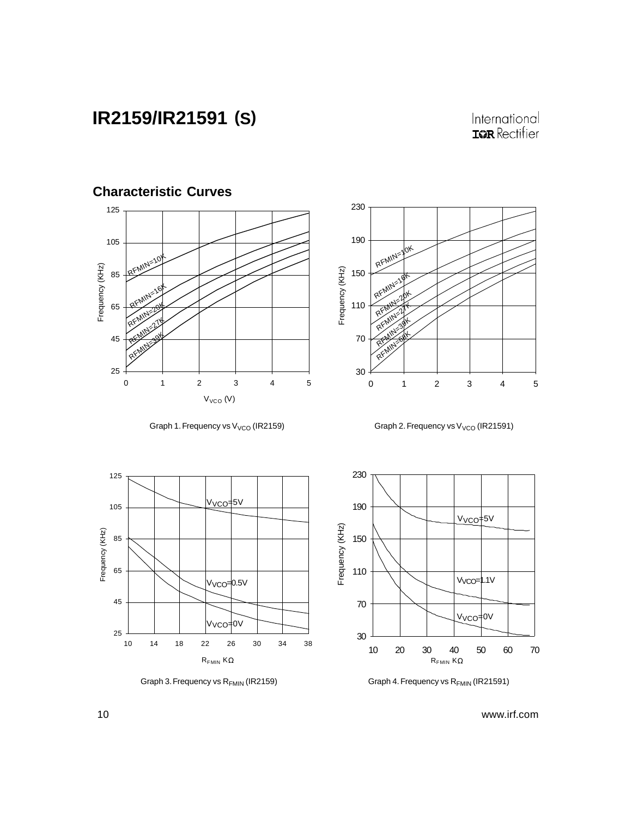### International **ISPR** Rectifier



Graph 1. Frequency vs  $V_{VCO}$  (IR2159)



Graph 2. Frequency vs  $V_{VCO}$  (IR21591)



Graph 3. Frequency vs R<sub>FMIN</sub> (IR2159)



Graph 4. Frequency vs R<sub>FMIN</sub> (IR21591)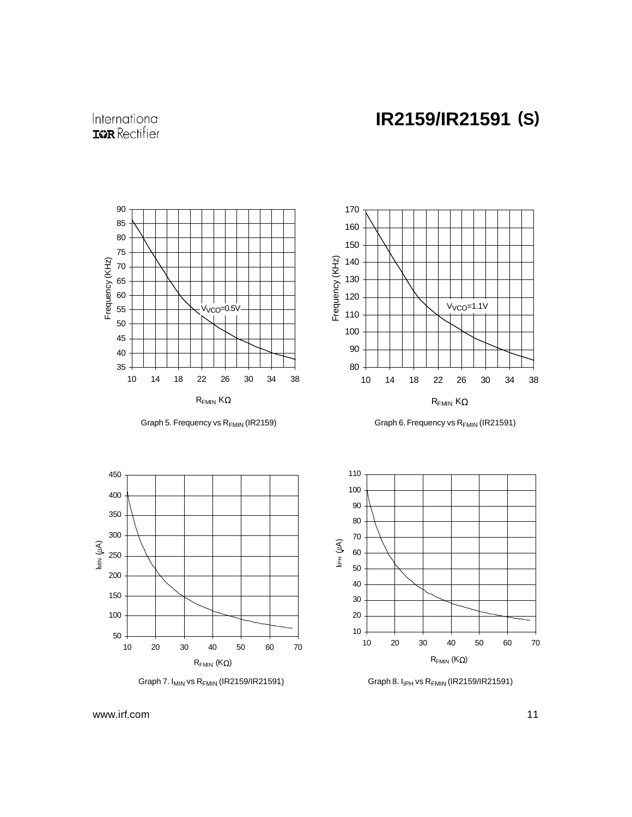International **ISR** Rectifier



Graph 5. Frequency vs R<sub>FMIN</sub> (IR2159)









Graph 7. I<sub>MIN</sub> vs R<sub>FMIN</sub> (IR2159/IR21591) Graph 8. I<sub>IPH</sub> vs R<sub>FMIN</sub> (IR2159/IR21591)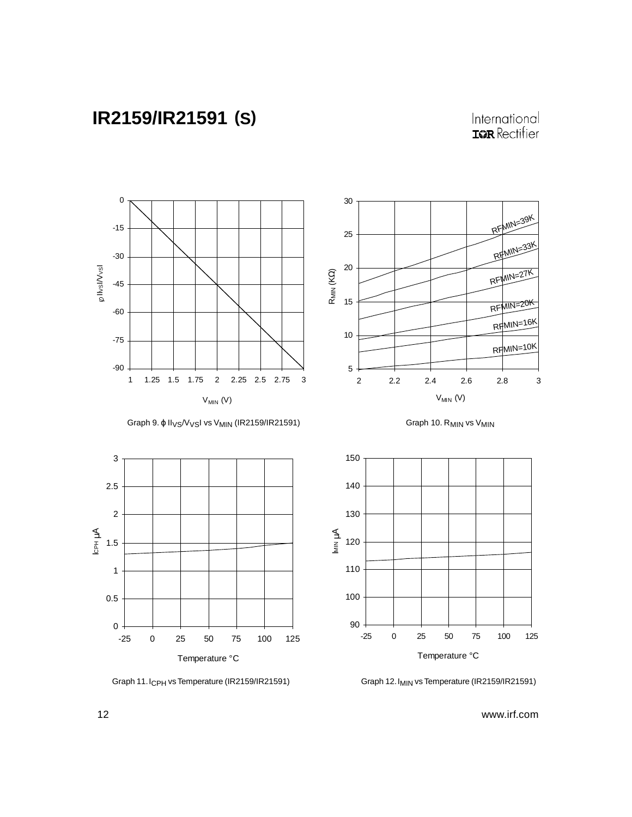## International **ISPR** Rectifier



Graph 11. I<sub>CPH</sub> vs Temperature (IR2159/IR21591) Graph 12. I<sub>MIN</sub> vs Temperature (IR2159/IR21591)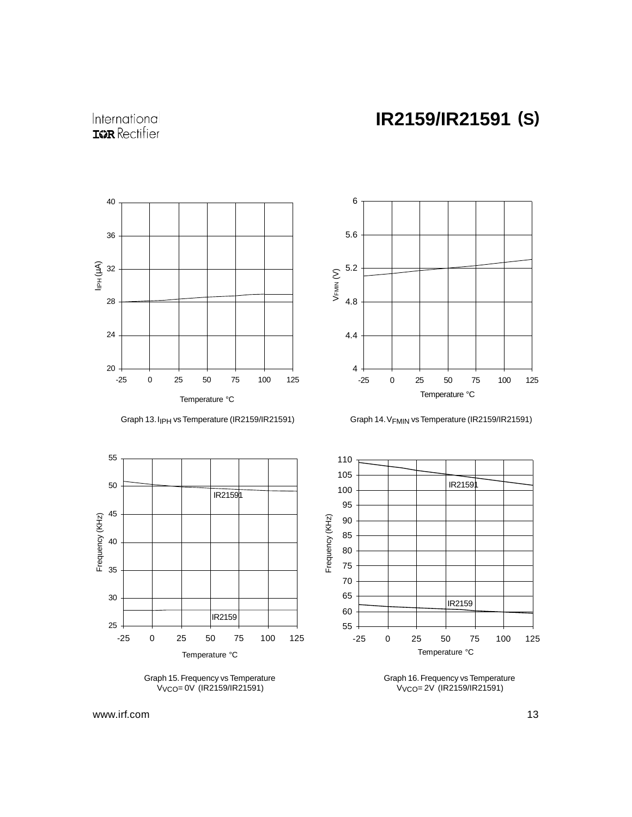





Graph 13. I<sub>IPH</sub> vs Temperature (IR2159/IR21591) Graph 14. V<sub>FMIN</sub> vs Temperature (IR2159/IR21591)



Graph 15. Frequency vs Temperature VVCO= 0V (IR2159/IR21591)



Graph 16. Frequency vs Temperature VVCO= 2V (IR2159/IR21591)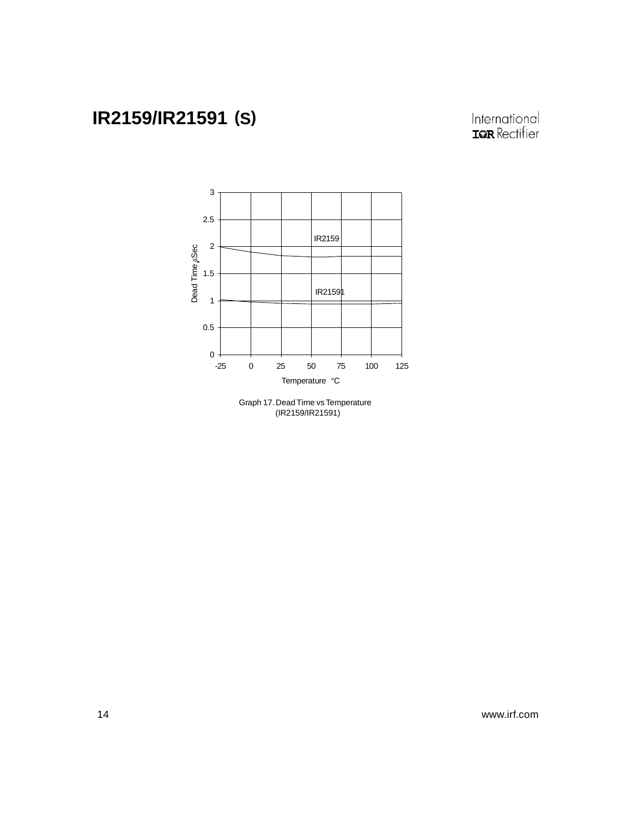

Graph 17. Dead Time vs Temperature (IR2159/IR21591)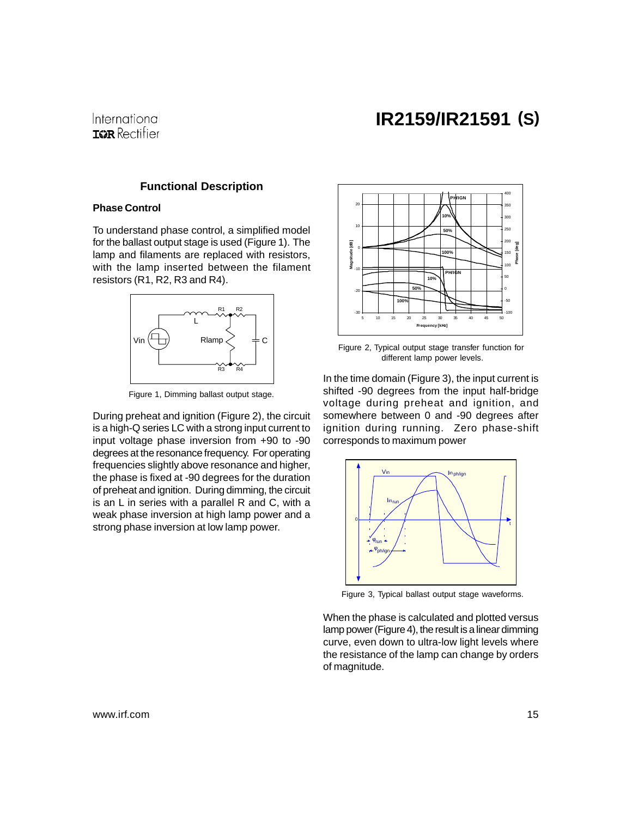

### **Functional Description**

### **Phase Control**

To understand phase control, a simplified model for the ballast output stage is used (Figure 1). The lamp and filaments are replaced with resistors, with the lamp inserted between the filament resistors (R1, R2, R3 and R4).



Figure 1, Dimming ballast output stage.

During preheat and ignition (Figure 2), the circuit is a high-Q series LC with a strong input current to input voltage phase inversion from +90 to -90 degrees at the resonance frequency. For operating frequencies slightly above resonance and higher, the phase is fixed at -90 degrees for the duration of preheat and ignition. During dimming, the circuit is an L in series with a parallel R and C, with a weak phase inversion at high lamp power and a strong phase inversion at low lamp power.



Figure 2, Typical output stage transfer function for different lamp power levels.

In the time domain (Figure 3), the input current is shifted -90 degrees from the input half-bridge voltage during preheat and ignition, and somewhere between 0 and -90 degrees after ignition during running. Zero phase-shift corresponds to maximum power



Figure 3, Typical ballast output stage waveforms.

When the phase is calculated and plotted versus lamp power (Figure 4), the result is a linear dimming curve, even down to ultra-low light levels where the resistance of the lamp can change by orders of magnitude.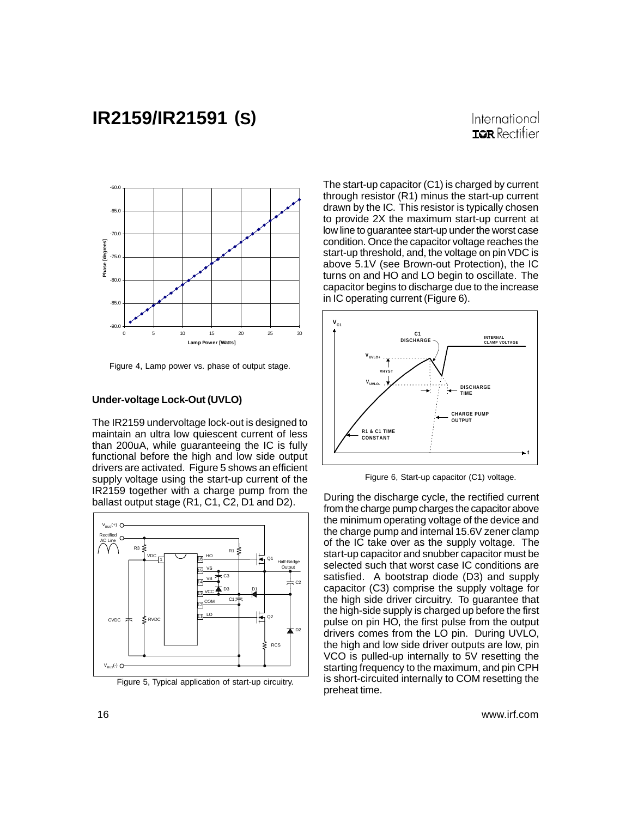### International **TOR** Rectifier



Figure 4, Lamp power vs. phase of output stage.

#### **Under-voltage Lock-Out (UVLO)**

The IR2159 undervoltage lock-out is designed to maintain an ultra low quiescent current of less than 200uA, while guaranteeing the IC is fully functional before the high and low side output drivers are activated. Figure 5 shows an efficient supply voltage using the start-up current of the IR2159 together with a charge pump from the ballast output stage (R1, C1, C2, D1 and D2).



Figure 5, Typical application of start-up circuitry. IS Short-CIFCU<br>preheat time.

The start-up capacitor (C1) is charged by current through resistor (R1) minus the start-up current drawn by the IC. This resistor is typically chosen to provide 2X the maximum start-up current at low line to guarantee start-up under the worst case condition. Once the capacitor voltage reaches the start-up threshold, and, the voltage on pin VDC is above 5.1V (see Brown-out Protection), the IC turns on and HO and LO begin to oscillate. The capacitor begins to discharge due to the increase in IC operating current (Figure 6).



Figure 6, Start-up capacitor (C1) voltage.

During the discharge cycle, the rectified current from the charge pump charges the capacitor above the minimum operating voltage of the device and the charge pump and internal 15.6V zener clamp of the IC take over as the supply voltage. The start-up capacitor and snubber capacitor must be selected such that worst case IC conditions are satisfied. A bootstrap diode (D3) and supply capacitor (C3) comprise the supply voltage for the high side driver circuitry. To guarantee that the high-side supply is charged up before the first pulse on pin HO, the first pulse from the output drivers comes from the LO pin. During UVLO, the high and low side driver outputs are low, pin VCO is pulled-up internally to 5V resetting the starting frequency to the maximum, and pin CPH is short-circuited internally to COM resetting the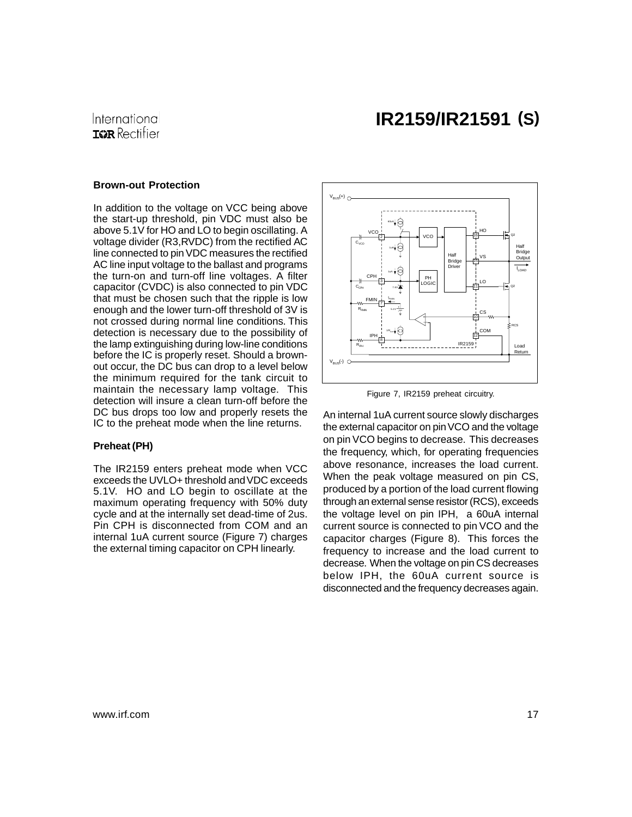#### **Brown-out Protection**

In addition to the voltage on VCC being above the start-up threshold, pin VDC must also be above 5.1V for HO and LO to begin oscillating. A voltage divider (R3,RVDC) from the rectified AC line connected to pin VDC measures the rectified AC line input voltage to the ballast and programs the turn-on and turn-off line voltages. A filter capacitor (CVDC) is also connected to pin VDC that must be chosen such that the ripple is low enough and the lower turn-off threshold of 3V is not crossed during normal line conditions. This detection is necessary due to the possibility of the lamp extinguishing during low-line conditions before the IC is properly reset. Should a brownout occur, the DC bus can drop to a level below the minimum required for the tank circuit to maintain the necessary lamp voltage. This detection will insure a clean turn-off before the DC bus drops too low and properly resets the IC to the preheat mode when the line returns.

#### **Preheat (PH)**

The IR2159 enters preheat mode when VCC exceeds the UVLO+ threshold and VDC exceeds 5.1V. HO and LO begin to oscillate at the maximum operating frequency with 50% duty cycle and at the internally set dead-time of 2us. Pin CPH is disconnected from COM and an internal 1uA current source (Figure 7) charges the external timing capacitor on CPH linearly.



Figure 7, IR2159 preheat circuitry.

An internal 1uA current source slowly discharges the external capacitor on pin VCO and the voltage on pin VCO begins to decrease. This decreases the frequency, which, for operating frequencies above resonance, increases the load current. When the peak voltage measured on pin CS, produced by a portion of the load current flowing through an external sense resistor (RCS), exceeds the voltage level on pin IPH, a 60uA internal current source is connected to pin VCO and the capacitor charges (Figure 8). This forces the frequency to increase and the load current to decrease. When the voltage on pin CS decreases below IPH, the 60uA current source is disconnected and the frequency decreases again.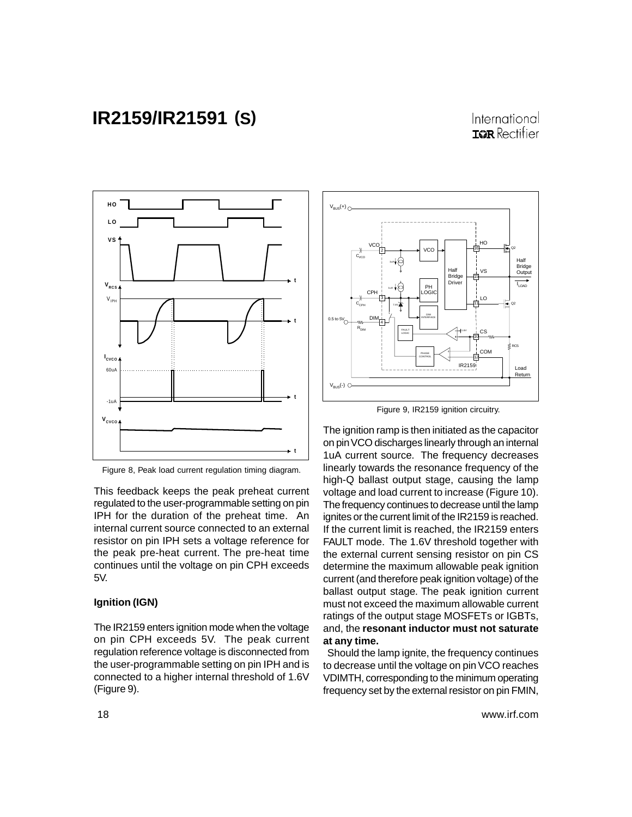### International **IGR** Rectifier



Figure 8, Peak load current regulation timing diagram.

This feedback keeps the peak preheat current regulated to the user-programmable setting on pin IPH for the duration of the preheat time. An internal current source connected to an external resistor on pin IPH sets a voltage reference for the peak pre-heat current. The pre-heat time continues until the voltage on pin CPH exceeds 5V.

#### **Ignition (IGN)**

The IR2159 enters ignition mode when the voltage on pin CPH exceeds 5V. The peak current regulation reference voltage is disconnected from the user-programmable setting on pin IPH and is connected to a higher internal threshold of 1.6V (Figure 9).



Figure 9, IR2159 ignition circuitry.

The ignition ramp is then initiated as the capacitor on pin VCO discharges linearly through an internal 1uA current source. The frequency decreases linearly towards the resonance frequency of the high-Q ballast output stage, causing the lamp voltage and load current to increase (Figure 10). The frequency continues to decrease until the lamp ignites or the current limit of the IR2159 is reached. If the current limit is reached, the IR2159 enters FAULT mode. The 1.6V threshold together with the external current sensing resistor on pin CS determine the maximum allowable peak ignition current (and therefore peak ignition voltage) of the ballast output stage. The peak ignition current must not exceed the maximum allowable current ratings of the output stage MOSFETs or IGBTs, and, the **resonant inductor must not saturate at any time.**

 Should the lamp ignite, the frequency continues to decrease until the voltage on pin VCO reaches VDIMTH, corresponding to the minimum operating frequency set by the external resistor on pin FMIN,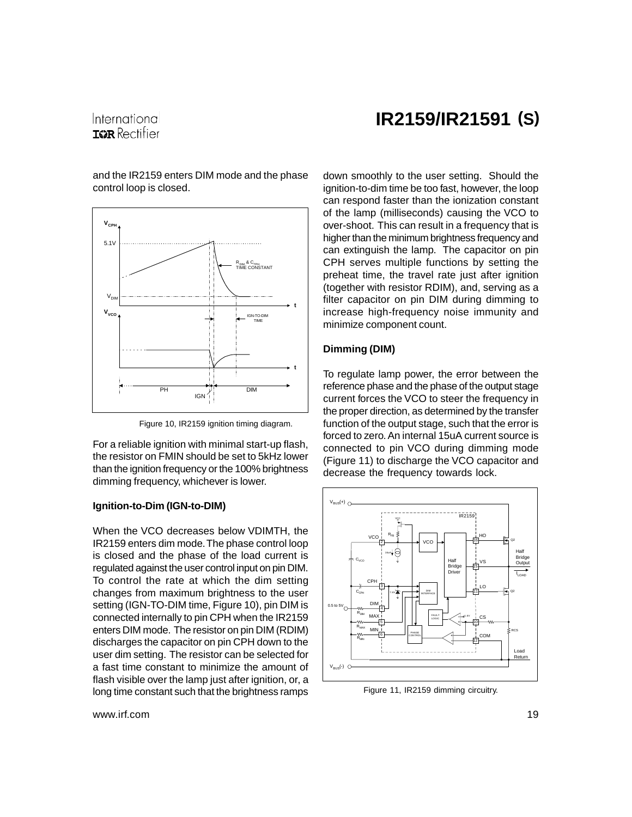### International **TOR** Rectifier

## **IR2159/IR21591 (S)**

and the IR2159 enters DIM mode and the phase control loop is closed.



Figure 10, IR2159 ignition timing diagram.

For a reliable ignition with minimal start-up flash, the resistor on FMIN should be set to 5kHz lower than the ignition frequency or the 100% brightness dimming frequency, whichever is lower.

#### **Ignition-to-Dim (IGN-to-DIM)**

When the VCO decreases below VDIMTH, the IR2159 enters dim mode. The phase control loop is closed and the phase of the load current is regulated against the user control input on pin DIM. To control the rate at which the dim setting changes from maximum brightness to the user setting (IGN-TO-DIM time, Figure 10), pin DIM is connected internally to pin CPH when the IR2159 enters DIM mode. The resistor on pin DIM (RDIM) discharges the capacitor on pin CPH down to the user dim setting. The resistor can be selected for a fast time constant to minimize the amount of flash visible over the lamp just after ignition, or, a long time constant such that the brightness ramps

down smoothly to the user setting. Should the ignition-to-dim time be too fast, however, the loop can respond faster than the ionization constant of the lamp (milliseconds) causing the VCO to over-shoot. This can result in a frequency that is higher than the minimum brightness frequency and can extinguish the lamp. The capacitor on pin CPH serves multiple functions by setting the preheat time, the travel rate just after ignition (together with resistor RDIM), and, serving as a filter capacitor on pin DIM during dimming to increase high-frequency noise immunity and minimize component count.

#### **Dimming (DIM)**

To regulate lamp power, the error between the reference phase and the phase of the output stage current forces the VCO to steer the frequency in the proper direction, as determined by the transfer function of the output stage, such that the error is forced to zero. An internal 15uA current source is connected to pin VCO during dimming mode (Figure 11) to discharge the VCO capacitor and decrease the frequency towards lock.



Figure 11, IR2159 dimming circuitry.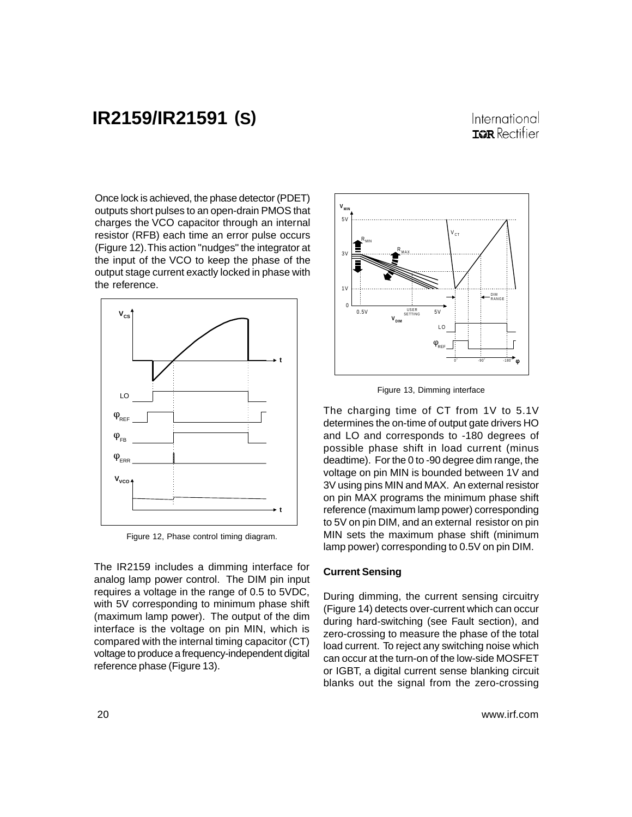### International **IGR** Rectifier

Once lock is achieved, the phase detector (PDET) outputs short pulses to an open-drain PMOS that charges the VCO capacitor through an internal resistor (RFB) each time an error pulse occurs (Figure 12). This action "nudges" the integrator at the input of the VCO to keep the phase of the output stage current exactly locked in phase with the reference.



Figure 12, Phase control timing diagram.

The IR2159 includes a dimming interface for analog lamp power control. The DIM pin input requires a voltage in the range of 0.5 to 5VDC, with 5V corresponding to minimum phase shift (maximum lamp power). The output of the dim interface is the voltage on pin MIN, which is compared with the internal timing capacitor (CT) voltage to produce a frequency-independent digital reference phase (Figure 13).



Figure 13, Dimming interface

The charging time of CT from 1V to 5.1V determines the on-time of output gate drivers HO and LO and corresponds to -180 degrees of possible phase shift in load current (minus deadtime). For the 0 to -90 degree dim range, the voltage on pin MIN is bounded between 1V and 3V using pins MIN and MAX. An external resistor on pin MAX programs the minimum phase shift reference (maximum lamp power) corresponding to 5V on pin DIM, and an external resistor on pin MIN sets the maximum phase shift (minimum lamp power) corresponding to 0.5V on pin DIM.

#### **Current Sensing**

During dimming, the current sensing circuitry (Figure 14) detects over-current which can occur during hard-switching (see Fault section), and zero-crossing to measure the phase of the total load current. To reject any switching noise which can occur at the turn-on of the low-side MOSFET or IGBT, a digital current sense blanking circuit blanks out the signal from the zero-crossing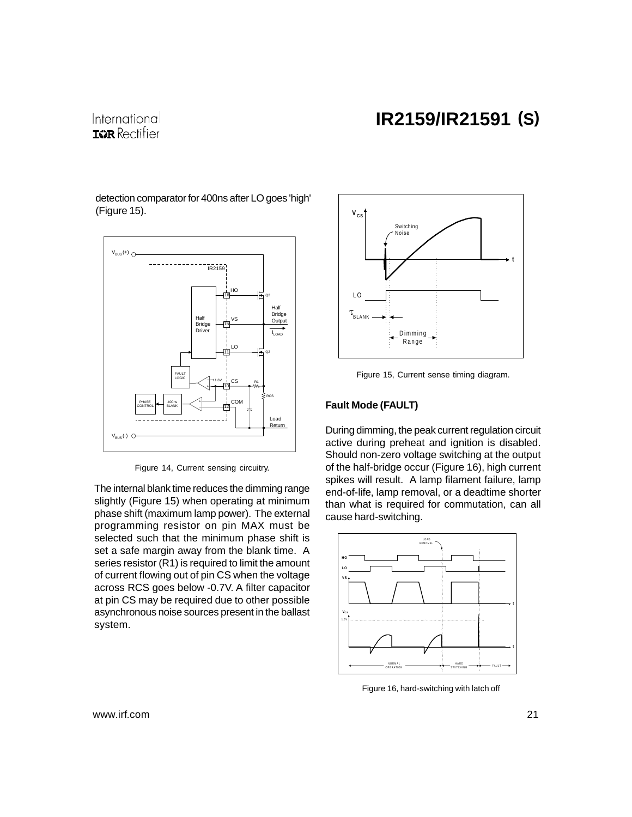## International **IGR** Rectifier

detection comparator for 400ns after LO goes 'high' (Figure 15).



Figure 14, Current sensing circuitry.

The internal blank time reduces the dimming range slightly (Figure 15) when operating at minimum phase shift (maximum lamp power). The external programming resistor on pin MAX must be selected such that the minimum phase shift is set a safe margin away from the blank time. A series resistor (R1) is required to limit the amount of current flowing out of pin CS when the voltage across RCS goes below -0.7V. A filter capacitor at pin CS may be required due to other possible asynchronous noise sources present in the ballast system.



Figure 15, Current sense timing diagram.

### **Fault Mode (FAULT)**

During dimming, the peak current regulation circuit active during preheat and ignition is disabled. Should non-zero voltage switching at the output of the half-bridge occur (Figure 16), high current spikes will result. A lamp filament failure, lamp end-of-life, lamp removal, or a deadtime shorter than what is required for commutation, can all cause hard-switching.



Figure 16, hard-switching with latch off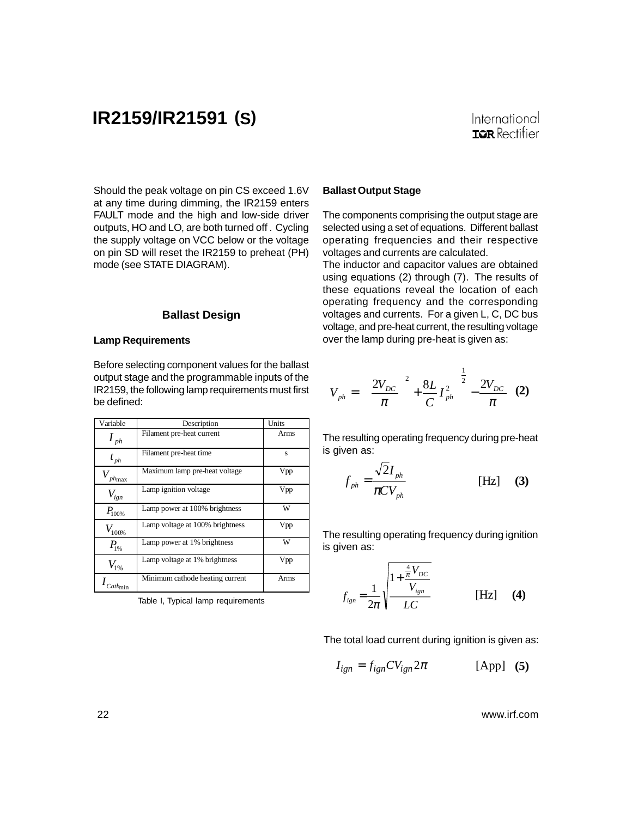Should the peak voltage on pin CS exceed 1.6V at any time during dimming, the IR2159 enters FAULT mode and the high and low-side driver outputs, HO and LO, are both turned off . Cycling the supply voltage on VCC below or the voltage on pin SD will reset the IR2159 to preheat (PH) mode (see STATE DIAGRAM).

#### **Ballast Design**

#### **Lamp Requirements**

Before selecting component values for the ballast output stage and the programmable inputs of the IR2159, the following lamp requirements must first be defined:

| Variable                     | Description                     | Units |
|------------------------------|---------------------------------|-------|
| $\boldsymbol{I}_{ph}$        | Filament pre-heat current       | Arms  |
| $t_{\scriptscriptstyle ph}$  | Filament pre-heat time          | s     |
| $\frac{1}{p h_{\text{max}}}$ | Maximum lamp pre-heat voltage   | Vpp   |
| $V_{ign}$                    | Lamp ignition voltage           | Vpp   |
| $P_{100\%}$                  | Lamp power at 100% brightness   | W     |
| $V_{100\%}$                  | Lamp voltage at 100% brightness | Vpp   |
| $P_{1%}$                     | Lamp power at 1% brightness     | W     |
| $V_{1\%}$                    | Lamp voltage at 1% brightness   | Vpp   |
| $\textit{Cath}_{\text{min}}$ | Minimum cathode heating current | Arms  |

Table I, Typical lamp requirements

#### **Ballast Output Stage**

The components comprising the output stage are selected using a set of equations. Different ballast operating frequencies and their respective voltages and currents are calculated.

The inductor and capacitor values are obtained using equations (2) through (7). The results of these equations reveal the location of each operating frequency and the corresponding voltages and currents. For a given L, C, DC bus voltage, and pre-heat current, the resulting voltage over the lamp during pre-heat is given as:

$$
V_{ph} = \left[ \left( \frac{2V_{DC}}{\pi} \right)^2 + \frac{8L}{C} I_{ph}^2 \right]^{\frac{1}{2}} - \frac{2V_{DC}}{\pi} \quad (2)
$$

The resulting operating frequency during pre-heat is given as:

$$
f_{ph} = \frac{\sqrt{2I_{ph}}}{\pi CV_{ph}}
$$
 [Hz] (3)

The resulting operating frequency during ignition is given as:

$$
f_{ign} = \frac{1}{2\pi} \sqrt{\frac{1 + \frac{\frac{4}{\pi}V_{DC}}{V_{ign}}}{LC}}
$$
 [Hz] (4)

The total load current during ignition is given as:

$$
I_{ign} = f_{ign}CV_{ign}2\pi
$$
 [App] (5)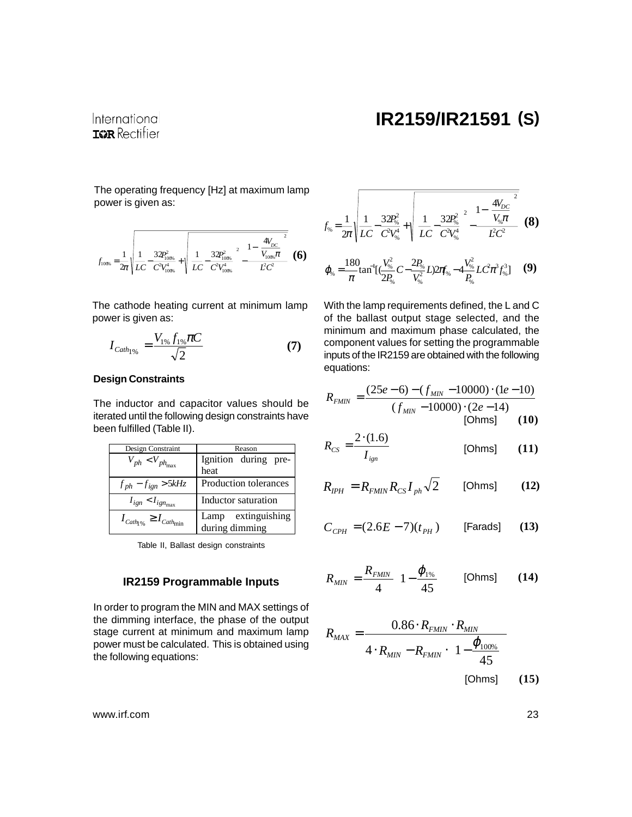International **IGR** Rectifier

The operating frequency [Hz] at maximum lamp power is given as:

$$
f_{1006} = \frac{1}{2\pi} \sqrt{\frac{1}{LC} - \frac{32P_{1006}^2}{C^2 V_{1006}^4} + \sqrt{\left[\frac{1}{LC} - \frac{32P_{1006}^2}{C^2 V_{1006}^4}\right]^2 - \frac{1 - \left(\frac{4V_{DC}}{V_{1006}\pi}\right)^2}{\dot{LC}^2}}}
$$
 (6)

The cathode heating current at minimum lamp power is given as:

$$
I_{Cath_1\%} = \frac{V_{1\%} f_{1\%} \pi C}{\sqrt{2}} \tag{7}
$$

### **Design Constraints**

The inductor and capacitor values should be iterated until the following design constraints have been fulfilled (Table II).

| Design Constraint                                                 | Reason                               |  |  |  |
|-------------------------------------------------------------------|--------------------------------------|--|--|--|
| $V_{ph}$ < $V_{ph_{\rm max}}$                                     | Ignition during pre-<br>heat         |  |  |  |
| $f_{ph} - f_{ign} > 5kHz$                                         | Production tolerances                |  |  |  |
| $I_{ign} < I_{ign_{max}}$                                         | Inductor saturation                  |  |  |  |
| $I_{\textit{Cath}_{\gamma_{\phi}}} \geq I_{\textit{Cath}_{\min}}$ | Lamp extinguishing<br>during dimming |  |  |  |

Table II, Ballast design constraints

### **IR2159 Programmable Inputs**

In order to program the MIN and MAX settings of the dimming interface, the phase of the output stage current at minimum and maximum lamp power must be calculated. This is obtained using the following equations:

$$
f_{\%} = \frac{1}{2\pi} \sqrt{\frac{1}{LC} - \frac{32P_{\%}^2}{C^2V_{\%}^4} + \sqrt{\left[\frac{1}{LC} - \frac{32P_{\%}^2}{C^2V_{\%}^4}\right]^2 - \frac{1 - \left(\frac{4V_{DC}}{V_{\%}\pi}\right)^2}{L^2C^2}}}
$$
(8)

$$
\varphi_{\text{s}} = \frac{180}{\pi} \tan^{-1} \left[ \left( \frac{V_{\text{s}}^2}{2P_{\text{s}}^2} C - \frac{2P_{\text{s}}^2}{V_{\text{s}}^2} L \right) 2\pi f_{\text{s}}^2 - 4 \frac{V_{\text{s}}^2}{P_{\text{s}}^2} L C^2 \pi^3 f_{\text{s}}^3 \right] \tag{9}
$$

With the lamp requirements defined, the L and C of the ballast output stage selected, and the minimum and maximum phase calculated, the component values for setting the programmable inputs of the IR2159 are obtained with the following equations:

$$
R_{FMIN} = \frac{(25e-6) - (f_{MIN} - 10000) \cdot (1e-10)}{(f_{MIN} - 10000) \cdot (2e-14)}
$$
  
[Ohms] (10)

$$
R_{CS} = \frac{2 \cdot (1.6)}{I_{ign}} \tag{11}
$$

$$
R_{IPH} = R_{FMIN} R_{CS} I_{ph} \sqrt{2}
$$
 [Ohms] (12)

$$
C_{\text{CPH}} = (2.6E - 7)(t_{\text{PH}}) \qquad \text{[Farads]} \qquad (13)
$$

$$
R_{MIN} = \frac{R_{FMIN}}{4} \left( 1 - \frac{\varphi_{1\%}}{45} \right) \quad \text{[Ohms]} \tag{14}
$$

$$
R_{MAX} = \frac{0.86 \cdot R_{FMIN} \cdot R_{MIN}}{4 \cdot R_{MIN} - R_{FMIN} \cdot \left(1 - \frac{\varphi_{100\%}}{45}\right)}
$$
 [Ohms] (15)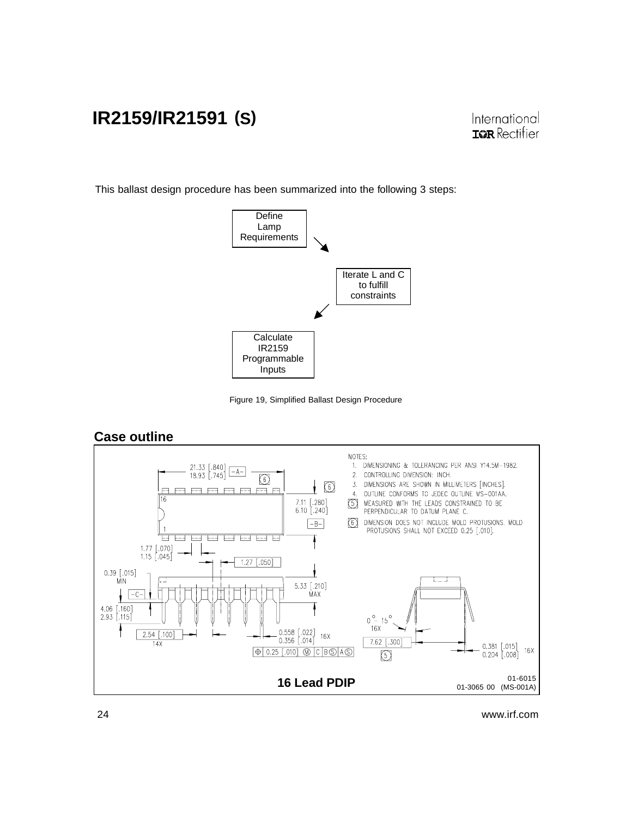This ballast design procedure has been summarized into the following 3 steps:







### **Case outline**